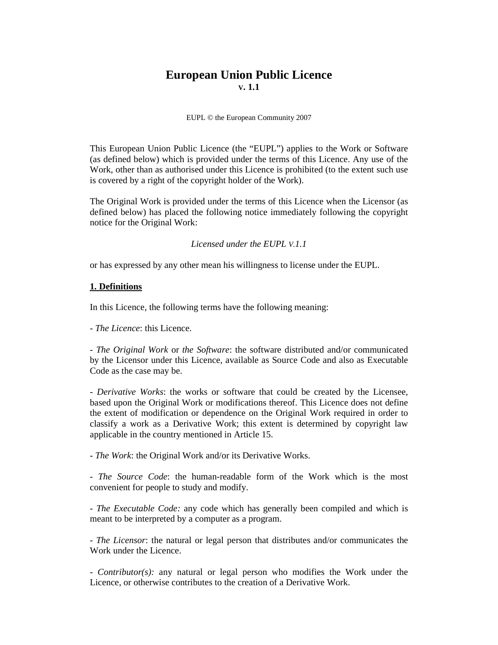# **European Union Public Licence V. 1.1**

EUPL © the European Community 2007

This European Union Public Licence (the "EUPL") applies to the Work or Software (as defined below) which is provided under the terms of this Licence. Any use of the Work, other than as authorised under this Licence is prohibited (to the extent such use is covered by a right of the copyright holder of the Work).

The Original Work is provided under the terms of this Licence when the Licensor (as defined below) has placed the following notice immediately following the copyright notice for the Original Work:

*Licensed under the EUPL V.1.1* 

or has expressed by any other mean his willingness to license under the EUPL.

#### **1. Definitions**

In this Licence, the following terms have the following meaning:

*- The Licence*: this Licence.

*- The Original Work* or *the Software*: the software distributed and/or communicated by the Licensor under this Licence, available as Source Code and also as Executable Code as the case may be.

*- Derivative Works*: the works or software that could be created by the Licensee, based upon the Original Work or modifications thereof. This Licence does not define the extent of modification or dependence on the Original Work required in order to classify a work as a Derivative Work; this extent is determined by copyright law applicable in the country mentioned in Article 15.

*- The Work*: the Original Work and/or its Derivative Works.

*- The Source Code*: the human-readable form of the Work which is the most convenient for people to study and modify.

*- The Executable Code:* any code which has generally been compiled and which is meant to be interpreted by a computer as a program.

- *The Licensor*: the natural or legal person that distributes and/or communicates the Work under the Licence.

*- Contributor(s):* any natural or legal person who modifies the Work under the Licence, or otherwise contributes to the creation of a Derivative Work.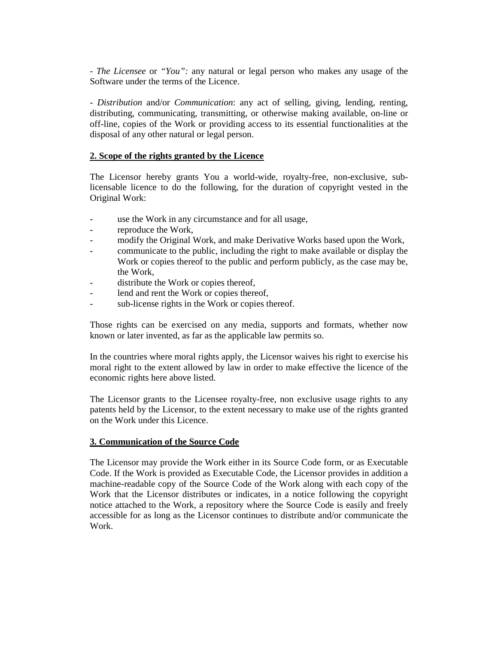*- The Licensee* or *"You":* any natural or legal person who makes any usage of the Software under the terms of the Licence.

*- Distribution* and/or *Communication*: any act of selling, giving, lending, renting, distributing, communicating, transmitting, or otherwise making available, on-line or off-line, copies of the Work or providing access to its essential functionalities at the disposal of any other natural or legal person.

#### **2. Scope of the rights granted by the Licence**

The Licensor hereby grants You a world-wide, royalty-free, non-exclusive, sublicensable licence to do the following, for the duration of copyright vested in the Original Work:

- use the Work in any circumstance and for all usage,
- reproduce the Work,
- modify the Original Work, and make Derivative Works based upon the Work,
- communicate to the public, including the right to make available or display the Work or copies thereof to the public and perform publicly, as the case may be, the Work,
- distribute the Work or copies thereof,
- lend and rent the Work or copies thereof,
- sub-license rights in the Work or copies thereof.

Those rights can be exercised on any media, supports and formats, whether now known or later invented, as far as the applicable law permits so.

In the countries where moral rights apply, the Licensor waives his right to exercise his moral right to the extent allowed by law in order to make effective the licence of the economic rights here above listed.

The Licensor grants to the Licensee royalty-free, non exclusive usage rights to any patents held by the Licensor, to the extent necessary to make use of the rights granted on the Work under this Licence.

#### **3. Communication of the Source Code**

The Licensor may provide the Work either in its Source Code form, or as Executable Code. If the Work is provided as Executable Code, the Licensor provides in addition a machine-readable copy of the Source Code of the Work along with each copy of the Work that the Licensor distributes or indicates, in a notice following the copyright notice attached to the Work, a repository where the Source Code is easily and freely accessible for as long as the Licensor continues to distribute and/or communicate the Work.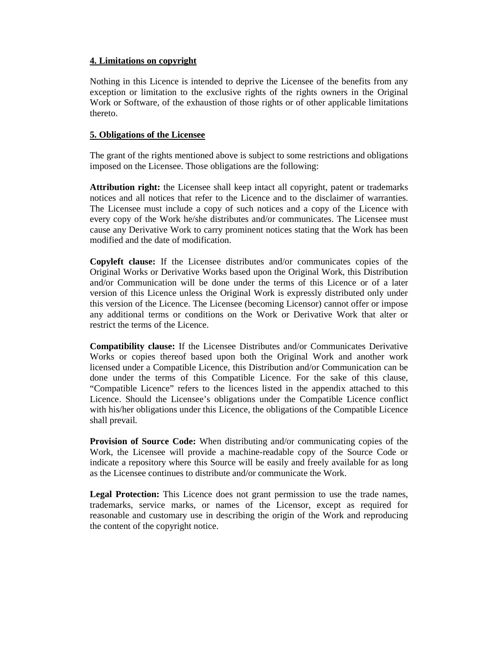#### **4. Limitations on copyright**

Nothing in this Licence is intended to deprive the Licensee of the benefits from any exception or limitation to the exclusive rights of the rights owners in the Original Work or Software, of the exhaustion of those rights or of other applicable limitations thereto.

# **5. Obligations of the Licensee**

The grant of the rights mentioned above is subject to some restrictions and obligations imposed on the Licensee. Those obligations are the following:

**Attribution right:** the Licensee shall keep intact all copyright, patent or trademarks notices and all notices that refer to the Licence and to the disclaimer of warranties. The Licensee must include a copy of such notices and a copy of the Licence with every copy of the Work he/she distributes and/or communicates. The Licensee must cause any Derivative Work to carry prominent notices stating that the Work has been modified and the date of modification.

**Copyleft clause:** If the Licensee distributes and/or communicates copies of the Original Works or Derivative Works based upon the Original Work, this Distribution and/or Communication will be done under the terms of this Licence or of a later version of this Licence unless the Original Work is expressly distributed only under this version of the Licence. The Licensee (becoming Licensor) cannot offer or impose any additional terms or conditions on the Work or Derivative Work that alter or restrict the terms of the Licence.

**Compatibility clause:** If the Licensee Distributes and/or Communicates Derivative Works or copies thereof based upon both the Original Work and another work licensed under a Compatible Licence, this Distribution and/or Communication can be done under the terms of this Compatible Licence. For the sake of this clause, "Compatible Licence" refers to the licences listed in the appendix attached to this Licence. Should the Licensee's obligations under the Compatible Licence conflict with his/her obligations under this Licence, the obligations of the Compatible Licence shall prevail*.* 

**Provision of Source Code:** When distributing and/or communicating copies of the Work, the Licensee will provide a machine-readable copy of the Source Code or indicate a repository where this Source will be easily and freely available for as long as the Licensee continues to distribute and/or communicate the Work.

**Legal Protection:** This Licence does not grant permission to use the trade names, trademarks, service marks, or names of the Licensor, except as required for reasonable and customary use in describing the origin of the Work and reproducing the content of the copyright notice.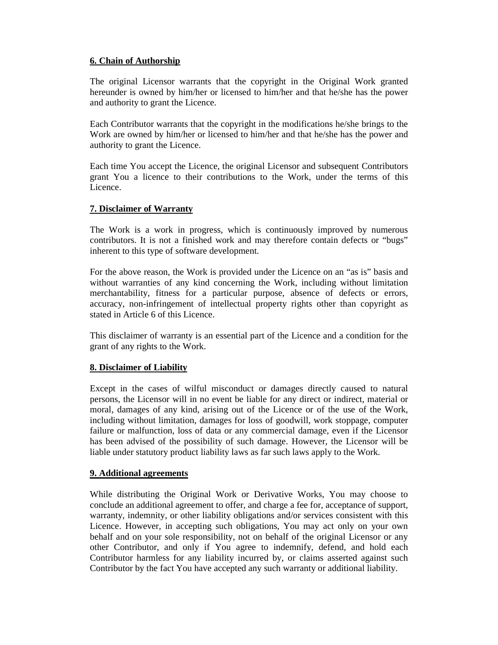# **6. Chain of Authorship**

The original Licensor warrants that the copyright in the Original Work granted hereunder is owned by him/her or licensed to him/her and that he/she has the power and authority to grant the Licence.

Each Contributor warrants that the copyright in the modifications he/she brings to the Work are owned by him/her or licensed to him/her and that he/she has the power and authority to grant the Licence.

Each time You accept the Licence, the original Licensor and subsequent Contributors grant You a licence to their contributions to the Work, under the terms of this Licence.

# **7. Disclaimer of Warranty**

The Work is a work in progress, which is continuously improved by numerous contributors. It is not a finished work and may therefore contain defects or "bugs" inherent to this type of software development.

For the above reason, the Work is provided under the Licence on an "as is" basis and without warranties of any kind concerning the Work, including without limitation merchantability, fitness for a particular purpose, absence of defects or errors, accuracy, non-infringement of intellectual property rights other than copyright as stated in Article 6 of this Licence.

This disclaimer of warranty is an essential part of the Licence and a condition for the grant of any rights to the Work.

# **8. Disclaimer of Liability**

Except in the cases of wilful misconduct or damages directly caused to natural persons, the Licensor will in no event be liable for any direct or indirect, material or moral, damages of any kind, arising out of the Licence or of the use of the Work, including without limitation, damages for loss of goodwill, work stoppage, computer failure or malfunction, loss of data or any commercial damage, even if the Licensor has been advised of the possibility of such damage. However, the Licensor will be liable under statutory product liability laws as far such laws apply to the Work.

#### **9. Additional agreements**

While distributing the Original Work or Derivative Works, You may choose to conclude an additional agreement to offer, and charge a fee for, acceptance of support, warranty, indemnity, or other liability obligations and/or services consistent with this Licence. However, in accepting such obligations, You may act only on your own behalf and on your sole responsibility, not on behalf of the original Licensor or any other Contributor, and only if You agree to indemnify, defend, and hold each Contributor harmless for any liability incurred by, or claims asserted against such Contributor by the fact You have accepted any such warranty or additional liability.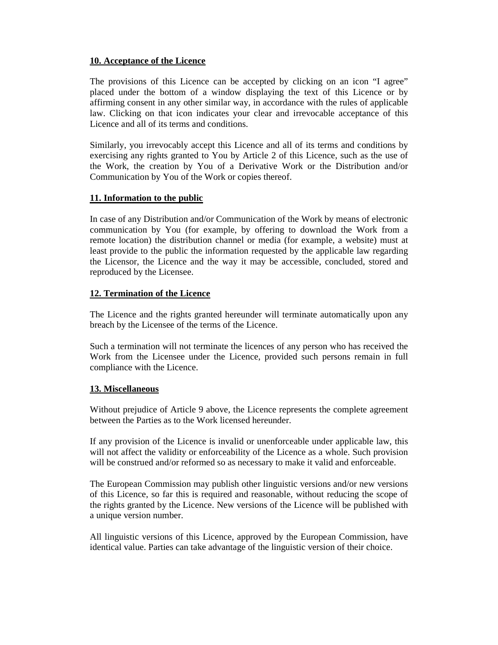#### **10. Acceptance of the Licence**

The provisions of this Licence can be accepted by clicking on an icon "I agree" placed under the bottom of a window displaying the text of this Licence or by affirming consent in any other similar way, in accordance with the rules of applicable law. Clicking on that icon indicates your clear and irrevocable acceptance of this Licence and all of its terms and conditions.

Similarly, you irrevocably accept this Licence and all of its terms and conditions by exercising any rights granted to You by Article 2 of this Licence, such as the use of the Work, the creation by You of a Derivative Work or the Distribution and/or Communication by You of the Work or copies thereof.

# **11. Information to the public**

In case of any Distribution and/or Communication of the Work by means of electronic communication by You (for example, by offering to download the Work from a remote location) the distribution channel or media (for example, a website) must at least provide to the public the information requested by the applicable law regarding the Licensor, the Licence and the way it may be accessible, concluded, stored and reproduced by the Licensee.

# **12. Termination of the Licence**

The Licence and the rights granted hereunder will terminate automatically upon any breach by the Licensee of the terms of the Licence.

Such a termination will not terminate the licences of any person who has received the Work from the Licensee under the Licence, provided such persons remain in full compliance with the Licence.

#### **13. Miscellaneous**

Without prejudice of Article 9 above, the Licence represents the complete agreement between the Parties as to the Work licensed hereunder.

If any provision of the Licence is invalid or unenforceable under applicable law, this will not affect the validity or enforceability of the Licence as a whole. Such provision will be construed and/or reformed so as necessary to make it valid and enforceable.

The European Commission may publish other linguistic versions and/or new versions of this Licence, so far this is required and reasonable, without reducing the scope of the rights granted by the Licence. New versions of the Licence will be published with a unique version number.

All linguistic versions of this Licence, approved by the European Commission, have identical value. Parties can take advantage of the linguistic version of their choice.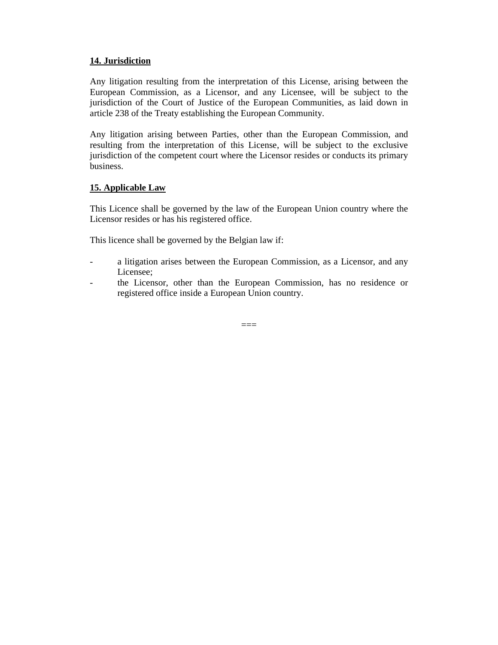#### **14. Jurisdiction**

Any litigation resulting from the interpretation of this License, arising between the European Commission, as a Licensor, and any Licensee, will be subject to the jurisdiction of the Court of Justice of the European Communities, as laid down in article 238 of the Treaty establishing the European Community.

Any litigation arising between Parties, other than the European Commission, and resulting from the interpretation of this License, will be subject to the exclusive jurisdiction of the competent court where the Licensor resides or conducts its primary business.

# **15. Applicable Law**

This Licence shall be governed by the law of the European Union country where the Licensor resides or has his registered office.

This licence shall be governed by the Belgian law if:

- a litigation arises between the European Commission, as a Licensor, and any Licensee;
- the Licensor, other than the European Commission, has no residence or registered office inside a European Union country.

 $=$  $=$  $=$  $=$